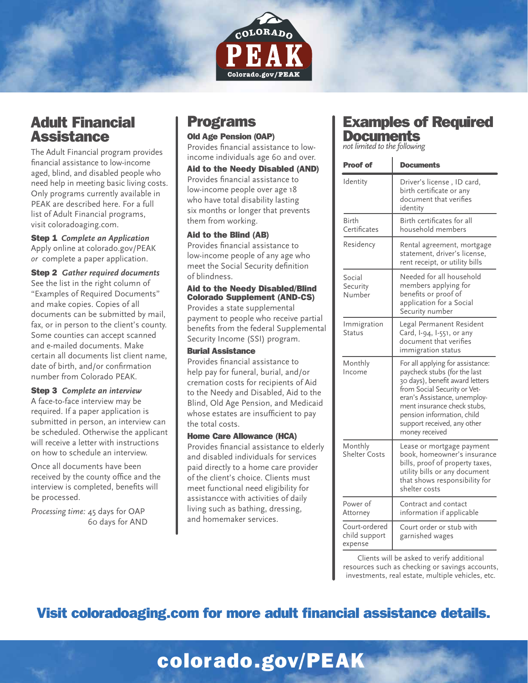

## Adult Financial **Assistance**

The Adult Financial program provides financial assistance to low-income aged, blind, and disabled people who need help in meeting basic living costs. Only programs currently available in PEAK are described here. For a full list of Adult Financial programs, visit coloradoaging.com.

Step 1 *Complete an Application*  Apply online at colorado.gov/PEAK *or* complete a paper application.

Step 2 *Gather required documents* See the list in the right column of "Examples of Required Documents" and make copies. Copies of all documents can be submitted by mail, fax, or in person to the client's county. Some counties can accept scanned and e-mailed documents. Make certain all documents list client name, date of birth, and/or confirmation number from Colorado PEAK.

#### Step 3 *Complete an interview*

A face-to-face interview may be required. If a paper application is submitted in person, an interview can be scheduled. Otherwise the applicant will receive a letter with instructions on how to schedule an interview.

Once all documents have been received by the county office and the interview is completed, benefits will be processed.

*Processing time:* 45 days for OAP 60 days for AND

## Programs

#### Old Age Pension (OAP)

Provides financial assistance to lowincome individuals age 60 and over.

Aid to the Needy Disabled (AND) Provides financial assistance to low-income people over age 18 who have total disability lasting six months or longer that prevents them from working.

#### Aid to the Blind (AB)

Provides financial assistance to low-income people of any age who meet the Social Security definition of blindness.

#### Aid to the Needy Disabled/Blind Colorado Supplement (AND-CS)

Provides a state supplemental payment to people who receive partial benefits from the federal Supplemental Security Income (SSI) program.

#### Burial Assistance

Provides financial assistance to help pay for funeral, burial, and/or cremation costs for recipients of Aid to the Needy and Disabled, Aid to the Blind, Old Age Pension, and Medicaid whose estates are insufficient to pay the total costs.

#### Home Care Allowance (HCA)

Provides financial assistance to elderly and disabled individuals for services paid directly to a home care provider of the client's choice. Clients must meet functional need eligibility for assistancce with activities of daily living such as bathing, dressing, and homemaker services.

### Examples of Required **Documents**

*not limited to the following*

| <b>Proof of</b>                           | <b>Documents</b>                                                                                                                                                                                                                                                                  |  |  |  |
|-------------------------------------------|-----------------------------------------------------------------------------------------------------------------------------------------------------------------------------------------------------------------------------------------------------------------------------------|--|--|--|
| Identity                                  | Driver's license, ID card,<br>birth certificate or any<br>document that verifies<br>identity                                                                                                                                                                                      |  |  |  |
| Birth<br>Certificates                     | Birth certificates for all<br>household members                                                                                                                                                                                                                                   |  |  |  |
| Residency                                 | Rental agreement, mortgage<br>statement, driver's license,<br>rent receipt, or utility bills                                                                                                                                                                                      |  |  |  |
| Social<br>Security<br>Number              | Needed for all household<br>members applying for<br>benefits or proof of<br>application for a Social<br>Security number                                                                                                                                                           |  |  |  |
| Immigration<br>Status                     | Legal Permanent Resident<br>Card, I-94, I-551, or any<br>document that verifies<br>immigration status                                                                                                                                                                             |  |  |  |
| Monthly<br>Income                         | For all applying for assistance:<br>paycheck stubs (for the last<br>30 days), benefit award letters<br>from Social Security or Vet-<br>eran's Assistance, unemploy-<br>ment insurance check stubs,<br>pension information, child<br>support received, any other<br>money received |  |  |  |
| Monthly<br><b>Shelter Costs</b>           | Lease or mortgage payment<br>book, homeowner's insurance<br>bills, proof of property taxes,<br>utility bills or any document<br>that shows responsibility for<br>shelter costs                                                                                                    |  |  |  |
| Power of<br>Attorney                      | Contract and contact<br>information if applicable                                                                                                                                                                                                                                 |  |  |  |
| Court-ordered<br>child support<br>expense | Court order or stub with<br>garnished wages                                                                                                                                                                                                                                       |  |  |  |

Clients will be asked to verify additional resources such as checking or savings accounts, investments, real estate, multiple vehicles, etc.

# Visit coloradoaging.com for more adult financial assistance details.

# colorado.gov/PEAK